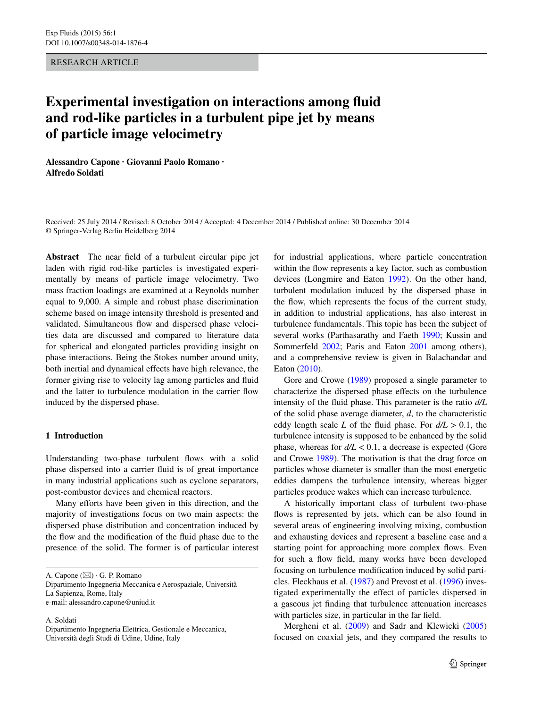## RESEARCH ARTICLE

# **Experimental investigation on interactions among fluid and rod‑like particles in a turbulent pipe jet by means of particle image velocimetry**

**Alessandro Capone · Giovanni Paolo Romano · Alfredo Soldati**

Received: 25 July 2014 / Revised: 8 October 2014 / Accepted: 4 December 2014 / Published online: 30 December 2014 © Springer-Verlag Berlin Heidelberg 2014

**Abstract** The near field of a turbulent circular pipe jet laden with rigid rod-like particles is investigated experimentally by means of particle image velocimetry. Two mass fraction loadings are examined at a Reynolds number equal to 9,000. A simple and robust phase discrimination scheme based on image intensity threshold is presented and validated. Simultaneous flow and dispersed phase velocities data are discussed and compared to literature data for spherical and elongated particles providing insight on phase interactions. Being the Stokes number around unity, both inertial and dynamical effects have high relevance, the former giving rise to velocity lag among particles and fluid and the latter to turbulence modulation in the carrier flow induced by the dispersed phase.

# **1 Introduction**

Understanding two-phase turbulent flows with a solid phase dispersed into a carrier fluid is of great importance in many industrial applications such as cyclone separators, post-combustor devices and chemical reactors.

Many efforts have been given in this direction, and the majority of investigations focus on two main aspects: the dispersed phase distribution and concentration induced by the flow and the modification of the fluid phase due to the presence of the solid. The former is of particular interest

A. Capone ( $\boxtimes$ ) · G. P. Romano

Dipartimento Ingegneria Meccanica e Aerospaziale, Università La Sapienza, Rome, Italy e-mail: alessandro.capone@uniud.it

A. Soldati

Dipartimento Ingegneria Elettrica, Gestionale e Meccanica, Università degli Studi di Udine, Udine, Italy

for industrial applications, where particle concentration within the flow represents a key factor, such as combustion devices (Longmire and Eaton [1992\)](#page-14-0). On the other hand, turbulent modulation induced by the dispersed phase in the flow, which represents the focus of the current study, in addition to industrial applications, has also interest in turbulence fundamentals. This topic has been the subject of several works (Parthasarathy and Faeth [1990;](#page-14-1) Kussin and Sommerfeld [2002;](#page-14-2) Paris and Eaton [2001](#page-14-3) among others), and a comprehensive review is given in Balachandar and Eaton [\(2010](#page-13-0)).

Gore and Crowe ([1989\)](#page-14-4) proposed a single parameter to characterize the dispersed phase effects on the turbulence intensity of the fluid phase. This parameter is the ratio *d/L* of the solid phase average diameter, *d*, to the characteristic eddy length scale *L* of the fluid phase. For  $d/L > 0.1$ , the turbulence intensity is supposed to be enhanced by the solid phase, whereas for *d/L* < 0.1, a decrease is expected (Gore and Crowe [1989](#page-14-4)). The motivation is that the drag force on particles whose diameter is smaller than the most energetic eddies dampens the turbulence intensity, whereas bigger particles produce wakes which can increase turbulence.

A historically important class of turbulent two-phase flows is represented by jets, which can be also found in several areas of engineering involving mixing, combustion and exhausting devices and represent a baseline case and a starting point for approaching more complex flows. Even for such a flow field, many works have been developed focusing on turbulence modification induced by solid particles. Fleckhaus et al. ([1987\)](#page-14-5) and Prevost et al. ([1996\)](#page-14-6) investigated experimentally the effect of particles dispersed in a gaseous jet finding that turbulence attenuation increases with particles size, in particular in the far field.

Mergheni et al. [\(2009](#page-14-7)) and Sadr and Klewicki ([2005\)](#page-14-8) focused on coaxial jets, and they compared the results to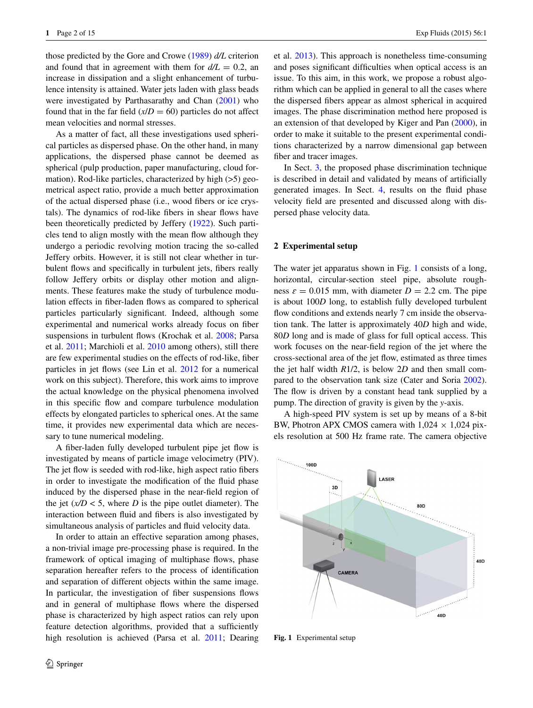those predicted by the Gore and Crowe ([1989\)](#page-14-4) *d/L* criterion and found that in agreement with them for  $d/L = 0.2$ , an increase in dissipation and a slight enhancement of turbulence intensity is attained. Water jets laden with glass beads were investigated by Parthasarathy and Chan ([2001\)](#page-14-9) who found that in the far field  $(x/D = 60)$  particles do not affect mean velocities and normal stresses.

As a matter of fact, all these investigations used spherical particles as dispersed phase. On the other hand, in many applications, the dispersed phase cannot be deemed as spherical (pulp production, paper manufacturing, cloud formation). Rod-like particles, characterized by high (>5) geometrical aspect ratio, provide a much better approximation of the actual dispersed phase (i.e., wood fibers or ice crystals). The dynamics of rod-like fibers in shear flows have been theoretically predicted by Jeffery ([1922\)](#page-14-10). Such particles tend to align mostly with the mean flow although they undergo a periodic revolving motion tracing the so-called Jeffery orbits. However, it is still not clear whether in turbulent flows and specifically in turbulent jets, fibers really follow Jeffery orbits or display other motion and alignments. These features make the study of turbulence modulation effects in fiber-laden flows as compared to spherical particles particularly significant. Indeed, although some experimental and numerical works already focus on fiber suspensions in turbulent flows (Krochak et al. [2008;](#page-14-11) Parsa et al. [2011;](#page-14-12) Marchioli et al. [2010](#page-14-13) among others), still there are few experimental studies on the effects of rod-like, fiber particles in jet flows (see Lin et al. [2012](#page-14-14) for a numerical work on this subject). Therefore, this work aims to improve the actual knowledge on the physical phenomena involved in this specific flow and compare turbulence modulation effects by elongated particles to spherical ones. At the same time, it provides new experimental data which are necessary to tune numerical modeling.

A fiber-laden fully developed turbulent pipe jet flow is investigated by means of particle image velocimetry (PIV). The jet flow is seeded with rod-like, high aspect ratio fibers in order to investigate the modification of the fluid phase induced by the dispersed phase in the near-field region of the jet  $(x/D < 5$ , where *D* is the pipe outlet diameter). The interaction between fluid and fibers is also investigated by simultaneous analysis of particles and fluid velocity data.

In order to attain an effective separation among phases, a non-trivial image pre-processing phase is required. In the framework of optical imaging of multiphase flows, phase separation hereafter refers to the process of identification and separation of different objects within the same image. In particular, the investigation of fiber suspensions flows and in general of multiphase flows where the dispersed phase is characterized by high aspect ratios can rely upon feature detection algorithms, provided that a sufficiently high resolution is achieved (Parsa et al. [2011;](#page-14-12) Dearing et al. [2013\)](#page-13-1). This approach is nonetheless time-consuming and poses significant difficulties when optical access is an issue. To this aim, in this work, we propose a robust algorithm which can be applied in general to all the cases where the dispersed fibers appear as almost spherical in acquired images. The phase discrimination method here proposed is an extension of that developed by Kiger and Pan ([2000\)](#page-14-15), in order to make it suitable to the present experimental conditions characterized by a narrow dimensional gap between fiber and tracer images.

In Sect. [3](#page-2-0), the proposed phase discrimination technique is described in detail and validated by means of artificially generated images. In Sect. [4](#page-6-0), results on the fluid phase velocity field are presented and discussed along with dispersed phase velocity data.

#### <span id="page-1-1"></span>**2 Experimental setup**

The water jet apparatus shown in Fig. [1](#page-1-0) consists of a long, horizontal, circular-section steel pipe, absolute roughness  $\varepsilon = 0.015$  mm, with diameter  $D = 2.2$  cm. The pipe is about 100*D* long, to establish fully developed turbulent flow conditions and extends nearly 7 cm inside the observation tank. The latter is approximately 40*D* high and wide, 80*D* long and is made of glass for full optical access. This work focuses on the near-field region of the jet where the cross-sectional area of the jet flow, estimated as three times the jet half width *R*1/2, is below 2*D* and then small compared to the observation tank size (Cater and Soria [2002](#page-13-2)). The flow is driven by a constant head tank supplied by a pump. The direction of gravity is given by the *y*-axis.

A high-speed PIV system is set up by means of a 8-bit BW, Photron APX CMOS camera with  $1,024 \times 1,024$  pixels resolution at 500 Hz frame rate. The camera objective



<span id="page-1-0"></span>**Fig. 1** Experimental setup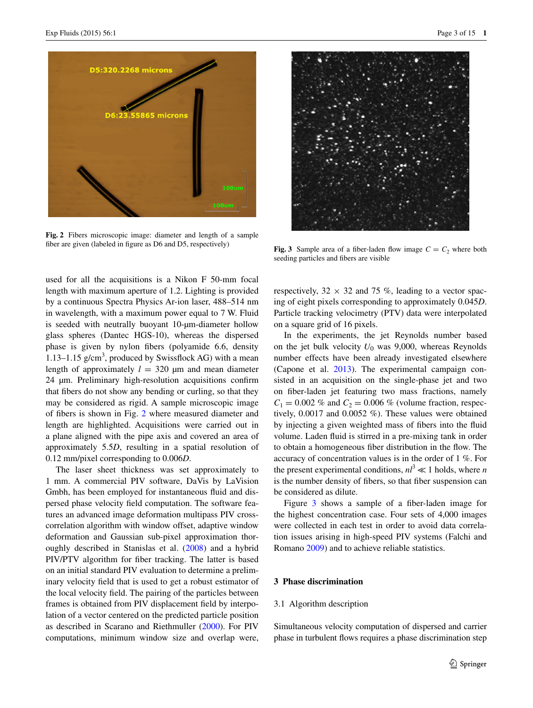

<span id="page-2-1"></span>**Fig. 2** Fibers microscopic image: diameter and length of a sample fiber are given (labeled in figure as D6 and D5, respectively) **Fig. 3** Sample area of a fiber-laden flow image  $C = C_2$  where both

used for all the acquisitions is a Nikon F 50-mm focal length with maximum aperture of 1.2. Lighting is provided by a continuous Spectra Physics Ar-ion laser, 488–514 nm in wavelength, with a maximum power equal to 7 W. Fluid is seeded with neutrally buoyant 10-µm-diameter hollow glass spheres (Dantec HGS-10), whereas the dispersed phase is given by nylon fibers (polyamide 6.6, density 1.13–1.15  $g/cm<sup>3</sup>$ , produced by Swissflock AG) with a mean length of approximately  $l = 320 \mu m$  and mean diameter 24 µm. Preliminary high-resolution acquisitions confirm that fibers do not show any bending or curling, so that they may be considered as rigid. A sample microscopic image of fibers is shown in Fig. [2](#page-2-1) where measured diameter and length are highlighted. Acquisitions were carried out in a plane aligned with the pipe axis and covered an area of approximately 5.5*D*, resulting in a spatial resolution of 0.12 mm/pixel corresponding to 0.006*D*.

The laser sheet thickness was set approximately to 1 mm. A commercial PIV software, DaVis by LaVision Gmbh, has been employed for instantaneous fluid and dispersed phase velocity field computation. The software features an advanced image deformation multipass PIV crosscorrelation algorithm with window offset, adaptive window deformation and Gaussian sub-pixel approximation thoroughly described in Stanislas et al. [\(2008](#page-14-16)) and a hybrid PIV/PTV algorithm for fiber tracking. The latter is based on an initial standard PIV evaluation to determine a preliminary velocity field that is used to get a robust estimator of the local velocity field. The pairing of the particles between frames is obtained from PIV displacement field by interpolation of a vector centered on the predicted particle position as described in Scarano and Riethmuller ([2000\)](#page-14-17). For PIV computations, minimum window size and overlap were,



seeding particles and fibers are visible

<span id="page-2-2"></span>respectively,  $32 \times 32$  and  $75\%$ , leading to a vector spacing of eight pixels corresponding to approximately 0.045*D*. Particle tracking velocimetry (PTV) data were interpolated on a square grid of 16 pixels.

In the experiments, the jet Reynolds number based on the jet bulk velocity *U*0 was 9,000, whereas Reynolds number effects have been already investigated elsewhere (Capone et al. [2013\)](#page-13-3). The experimental campaign consisted in an acquisition on the single-phase jet and two on fiber-laden jet featuring two mass fractions, namely  $C_1 = 0.002$  % and  $C_2 = 0.006$  % (volume fraction, respectively, 0.0017 and 0.0052 %). These values were obtained by injecting a given weighted mass of fibers into the fluid volume. Laden fluid is stirred in a pre-mixing tank in order to obtain a homogeneous fiber distribution in the flow. The accuracy of concentration values is in the order of 1 %. For the present experimental conditions,  $nl^3 \ll 1$  holds, where *n* is the number density of fibers, so that fiber suspension can be considered as dilute.

Figure [3](#page-2-2) shows a sample of a fiber-laden image for the highest concentration case. Four sets of 4,000 images were collected in each test in order to avoid data correlation issues arising in high-speed PIV systems (Falchi and Romano [2009\)](#page-13-4) and to achieve reliable statistics.

# <span id="page-2-0"></span>**3 Phase discrimination**

# <span id="page-2-3"></span>3.1 Algorithm description

Simultaneous velocity computation of dispersed and carrier phase in turbulent flows requires a phase discrimination step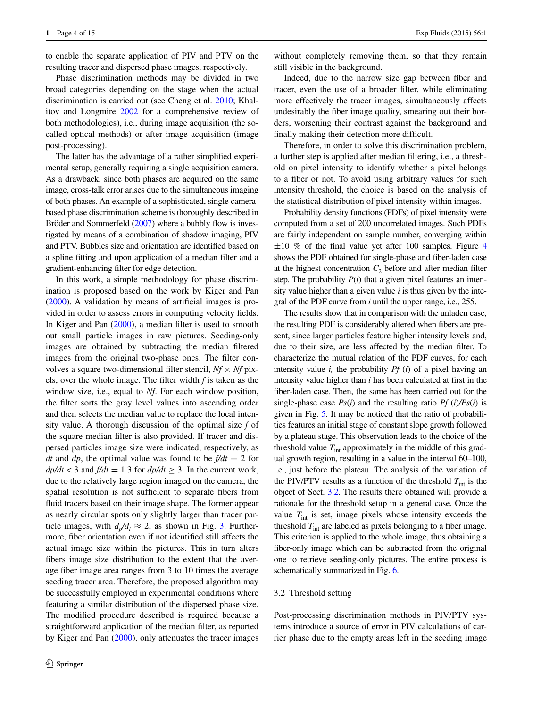to enable the separate application of PIV and PTV on the resulting tracer and dispersed phase images, respectively.

Phase discrimination methods may be divided in two broad categories depending on the stage when the actual discrimination is carried out (see Cheng et al. [2010](#page-13-5); Khalitov and Longmire [2002](#page-14-18) for a comprehensive review of both methodologies), i.e., during image acquisition (the socalled optical methods) or after image acquisition (image post-processing).

The latter has the advantage of a rather simplified experimental setup, generally requiring a single acquisition camera. As a drawback, since both phases are acquired on the same image, cross-talk error arises due to the simultaneous imaging of both phases. An example of a sophisticated, single camerabased phase discrimination scheme is thoroughly described in Bröder and Sommerfeld [\(2007\)](#page-13-6) where a bubbly flow is investigated by means of a combination of shadow imaging, PIV and PTV. Bubbles size and orientation are identified based on a spline fitting and upon application of a median filter and a gradient-enhancing filter for edge detection.

In this work, a simple methodology for phase discrimination is proposed based on the work by Kiger and Pan [\(2000](#page-14-15)). A validation by means of artificial images is provided in order to assess errors in computing velocity fields. In Kiger and Pan ([2000\)](#page-14-15), a median filter is used to smooth out small particle images in raw pictures. Seeding-only images are obtained by subtracting the median filtered images from the original two-phase ones. The filter convolves a square two-dimensional filter stencil,  $Nf \times Nf$  pixels, over the whole image. The filter width *f* is taken as the window size, i.e., equal to *Nf*. For each window position, the filter sorts the gray level values into ascending order and then selects the median value to replace the local intensity value. A thorough discussion of the optimal size *f* of the square median filter is also provided. If tracer and dispersed particles image size were indicated, respectively, as *dt* and *dp*, the optimal value was found to be  $f/dt = 2$  for  $dp/dt < 3$  and  $f/dt = 1.3$  for  $dp/dt \ge 3$ . In the current work, due to the relatively large region imaged on the camera, the spatial resolution is not sufficient to separate fibers from fluid tracers based on their image shape. The former appear as nearly circular spots only slightly larger than tracer particle images, with  $d_n/d_t \approx 2$ , as shown in Fig. [3](#page-2-2). Furthermore, fiber orientation even if not identified still affects the actual image size within the pictures. This in turn alters fibers image size distribution to the extent that the average fiber image area ranges from 3 to 10 times the average seeding tracer area. Therefore, the proposed algorithm may be successfully employed in experimental conditions where featuring a similar distribution of the dispersed phase size. The modified procedure described is required because a straightforward application of the median filter, as reported by Kiger and Pan ([2000\)](#page-14-15), only attenuates the tracer images

without completely removing them, so that they remain still visible in the background.

Indeed, due to the narrow size gap between fiber and tracer, even the use of a broader filter, while eliminating more effectively the tracer images, simultaneously affects undesirably the fiber image quality, smearing out their borders, worsening their contrast against the background and finally making their detection more difficult.

Therefore, in order to solve this discrimination problem, a further step is applied after median filtering, i.e., a threshold on pixel intensity to identify whether a pixel belongs to a fiber or not. To avoid using arbitrary values for such intensity threshold, the choice is based on the analysis of the statistical distribution of pixel intensity within images.

Probability density functions (PDFs) of pixel intensity were computed from a set of 200 uncorrelated images. Such PDFs are fairly independent on sample number, converging within  $\pm 10$  % of the final value yet after 100 samples. Figure [4](#page-4-0) shows the PDF obtained for single-phase and fiber-laden case at the highest concentration  $C_2$  before and after median filter step. The probability  $P(i)$  that a given pixel features an intensity value higher than a given value *i* is thus given by the integral of the PDF curve from *i* until the upper range, i.e., 255.

The results show that in comparison with the unladen case, the resulting PDF is considerably altered when fibers are present, since larger particles feature higher intensity levels and, due to their size, are less affected by the median filter. To characterize the mutual relation of the PDF curves, for each intensity value *i,* the probability *Pf* (*i*) of a pixel having an intensity value higher than *i* has been calculated at first in the fiber-laden case. Then, the same has been carried out for the single-phase case  $Ps(i)$  and the resulting ratio  $Pf(i)/Ps(i)$  is given in Fig. [5](#page-4-1). It may be noticed that the ratio of probabilities features an initial stage of constant slope growth followed by a plateau stage. This observation leads to the choice of the threshold value  $T_{\text{int}}$  approximately in the middle of this gradual growth region, resulting in a value in the interval 60–100, i.e., just before the plateau. The analysis of the variation of the PIV/PTV results as a function of the threshold  $T_{\text{int}}$  is the object of Sect. [3.2](#page-3-0). The results there obtained will provide a rationale for the threshold setup in a general case. Once the value  $T_{\text{int}}$  is set, image pixels whose intensity exceeds the threshold  $T_{\text{int}}$  are labeled as pixels belonging to a fiber image. This criterion is applied to the whole image, thus obtaining a fiber-only image which can be subtracted from the original one to retrieve seeding-only pictures. The entire process is schematically summarized in Fig. [6.](#page-4-2)

#### <span id="page-3-0"></span>3.2 Threshold setting

Post-processing discrimination methods in PIV/PTV systems introduce a source of error in PIV calculations of carrier phase due to the empty areas left in the seeding image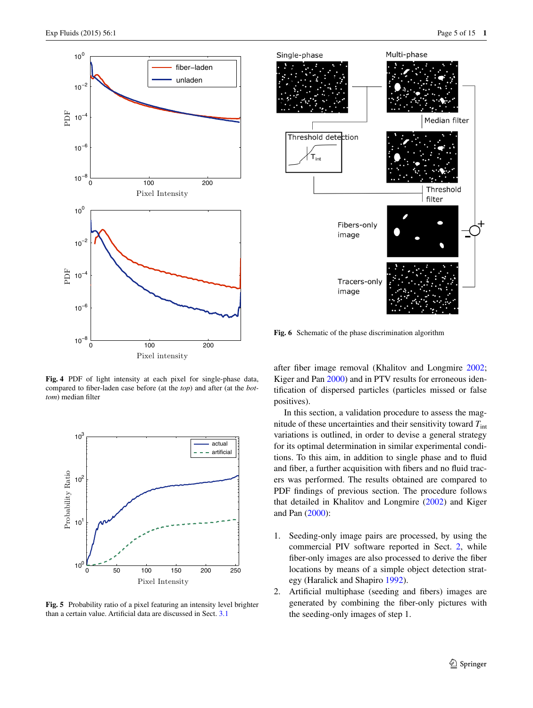

<span id="page-4-0"></span>**Fig. 4** PDF of light intensity at each pixel for single-phase data, compared to fiber-laden case before (at the *top*) and after (at the *bottom*) median filter



<span id="page-4-1"></span>**Fig. 5** Probability ratio of a pixel featuring an intensity level brighter than a certain value. Artificial data are discussed in Sect. [3.1](#page-2-3)



<span id="page-4-2"></span>**Fig. 6** Schematic of the phase discrimination algorithm

after fiber image removal (Khalitov and Longmire [2002](#page-14-18); Kiger and Pan [2000](#page-14-15)) and in PTV results for erroneous identification of dispersed particles (particles missed or false positives).

In this section, a validation procedure to assess the magnitude of these uncertainties and their sensitivity toward  $T_{\text{int}}$ variations is outlined, in order to devise a general strategy for its optimal determination in similar experimental conditions. To this aim, in addition to single phase and to fluid and fiber, a further acquisition with fibers and no fluid tracers was performed. The results obtained are compared to PDF findings of previous section. The procedure follows that detailed in Khalitov and Longmire ([2002\)](#page-14-18) and Kiger and Pan ([2000\)](#page-14-15):

- 1. Seeding-only image pairs are processed, by using the commercial PIV software reported in Sect. [2,](#page-1-1) while fiber-only images are also processed to derive the fiber locations by means of a simple object detection strategy (Haralick and Shapiro [1992\)](#page-14-19).
- 2. Artificial multiphase (seeding and fibers) images are generated by combining the fiber-only pictures with the seeding-only images of step 1.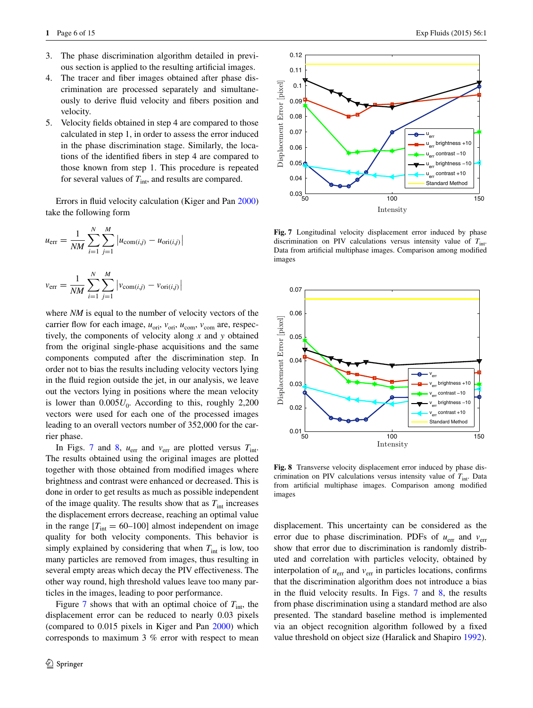- 3. The phase discrimination algorithm detailed in previous section is applied to the resulting artificial images.
- 4. The tracer and fiber images obtained after phase discrimination are processed separately and simultaneously to derive fluid velocity and fibers position and velocity.
- 5. Velocity fields obtained in step 4 are compared to those calculated in step 1, in order to assess the error induced in the phase discrimination stage. Similarly, the locations of the identified fibers in step 4 are compared to those known from step 1. This procedure is repeated for several values of  $T_{\text{int}}$ , and results are compared.

Errors in fluid velocity calculation (Kiger and Pan [2000\)](#page-14-15) take the following form

$$
u_{\text{err}} = \frac{1}{NM} \sum_{i=1}^{N} \sum_{j=1}^{M} \left| u_{\text{com}(i,j)} - u_{\text{ori}(i,j)} \right|
$$

$$
v_{\text{err}} = \frac{1}{NM} \sum_{i=1}^{N} \sum_{j=1}^{M} |v_{\text{com}(i,j)} - v_{\text{ori}(i,j)}|
$$

where *NM* is equal to the number of velocity vectors of the carrier flow for each image,  $u_{\text{ori}}$ ,  $v_{\text{ori}}$ ,  $u_{\text{com}}$ ,  $v_{\text{com}}$  are, respectively, the components of velocity along *x* and *y* obtained from the original single-phase acquisitions and the same components computed after the discrimination step. In order not to bias the results including velocity vectors lying in the fluid region outside the jet, in our analysis, we leave out the vectors lying in positions where the mean velocity is lower than  $0.005U_0$ . According to this, roughly 2,200 vectors were used for each one of the processed images leading to an overall vectors number of 352,000 for the carrier phase.

In Figs. [7](#page-5-0) and [8,](#page-5-1)  $u_{\text{err}}$  and  $v_{\text{err}}$  are plotted versus  $T_{\text{int}}$ . The results obtained using the original images are plotted together with those obtained from modified images where brightness and contrast were enhanced or decreased. This is done in order to get results as much as possible independent of the image quality. The results show that as  $T_{\text{int}}$  increases the displacement errors decrease, reaching an optimal value in the range  $[T_{\text{int}} = 60 - 100]$  almost independent on image quality for both velocity components. This behavior is simply explained by considering that when  $T_{\text{int}}$  is low, too many particles are removed from images, thus resulting in several empty areas which decay the PIV effectiveness. The other way round, high threshold values leave too many particles in the images, leading to poor performance.

Figure [7](#page-5-0) shows that with an optimal choice of  $T_{\text{int}}$ , the displacement error can be reduced to nearly 0.03 pixels (compared to 0.015 pixels in Kiger and Pan [2000\)](#page-14-15) which corresponds to maximum 3 % error with respect to mean



<span id="page-5-0"></span>**Fig. 7** Longitudinal velocity displacement error induced by phase discrimination on PIV calculations versus intensity value of *T*int. Data from artificial multiphase images. Comparison among modified images



<span id="page-5-1"></span>**Fig. 8** Transverse velocity displacement error induced by phase discrimination on PIV calculations versus intensity value of  $T_{\text{int}}$ . Data from artificial multiphase images. Comparison among modified images

displacement. This uncertainty can be considered as the error due to phase discrimination. PDFs of  $u_{\text{err}}$  and  $v_{\text{err}}$ show that error due to discrimination is randomly distributed and correlation with particles velocity, obtained by interpolation of  $u_{\text{err}}$  and  $v_{\text{err}}$  in particles locations, confirms that the discrimination algorithm does not introduce a bias in the fluid velocity results. In Figs. [7](#page-5-0) and [8](#page-5-1), the results from phase discrimination using a standard method are also presented. The standard baseline method is implemented via an object recognition algorithm followed by a fixed value threshold on object size (Haralick and Shapiro [1992](#page-14-19)).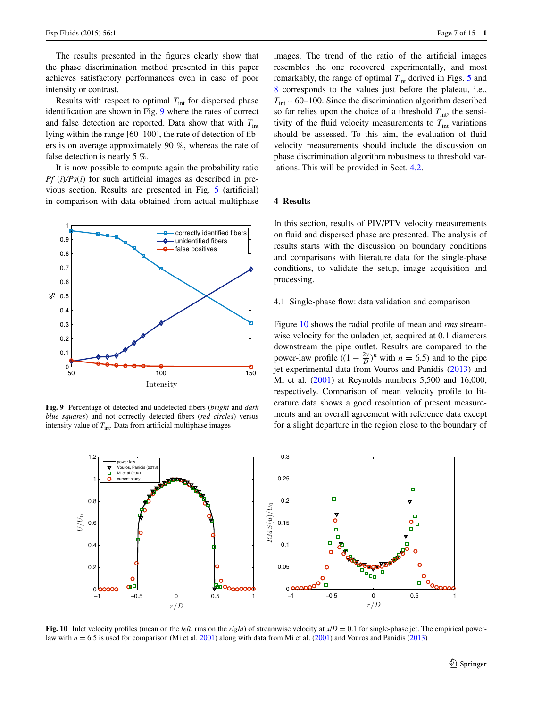The results presented in the figures clearly show that the phase discrimination method presented in this paper achieves satisfactory performances even in case of poor intensity or contrast.

Results with respect to optimal  $T_{\text{int}}$  for dispersed phase identification are shown in Fig. [9](#page-6-1) where the rates of correct and false detection are reported. Data show that with  $T_{\text{int}}$ lying within the range [60–100], the rate of detection of fibers is on average approximately 90 %, whereas the rate of false detection is nearly 5 %.

It is now possible to compute again the probability ratio *Pf* (*i*)*/Ps*(*i*) for such artificial images as described in previous section. Results are presented in Fig. [5](#page-4-1) (artificial) in comparison with data obtained from actual multiphase



<span id="page-6-1"></span>**Fig. 9** Percentage of detected and undetected fibers (*bright* and *dark blue squares*) and not correctly detected fibers (*red circles*) versus intensity value of  $T_{\text{int}}$ . Data from artificial multiphase images

images. The trend of the ratio of the artificial images resembles the one recovered experimentally, and most remarkably, the range of optimal  $T_{\text{int}}$  derived in Figs. [5](#page-4-1) and [8](#page-5-1) corresponds to the values just before the plateau, i.e.,  $T_{\text{int}} \sim 60{\text -}100$ . Since the discrimination algorithm described so far relies upon the choice of a threshold  $T_{\text{int}}$ , the sensitivity of the fluid velocity measurements to  $T_{\text{int}}$  variations should be assessed. To this aim, the evaluation of fluid velocity measurements should include the discussion on phase discrimination algorithm robustness to threshold variations. This will be provided in Sect. [4.2.](#page-7-0)

# <span id="page-6-0"></span>**4 Results**

In this section, results of PIV/PTV velocity measurements on fluid and dispersed phase are presented. The analysis of results starts with the discussion on boundary conditions and comparisons with literature data for the single-phase conditions, to validate the setup, image acquisition and processing.

# 4.1 Single-phase flow: data validation and comparison

Figure [10](#page-6-2) shows the radial profile of mean and *rms* streamwise velocity for the unladen jet, acquired at 0.1 diameters downstream the pipe outlet. Results are compared to the power-law profile  $((1 - \frac{2y}{D})^n)$  with  $n = 6.5$ ) and to the pipe jet experimental data from Vouros and Panidis [\(2013](#page-14-20)) and Mi et al. [\(2001](#page-14-21)) at Reynolds numbers 5,500 and 16,000, respectively. Comparison of mean velocity profile to literature data shows a good resolution of present measurements and an overall agreement with reference data except for a slight departure in the region close to the boundary of



<span id="page-6-2"></span>**Fig. 10** Inlet velocity profiles (mean on the *left*, rms on the *right*) of streamwise velocity at  $x/D = 0.1$  for single-phase jet. The empirical powerlaw with *n* = 6.5 is used for comparison (Mi et al. [2001](#page-14-21)) along with data from Mi et al. ([2001\)](#page-14-21) and Vouros and Panidis [\(2013](#page-14-20))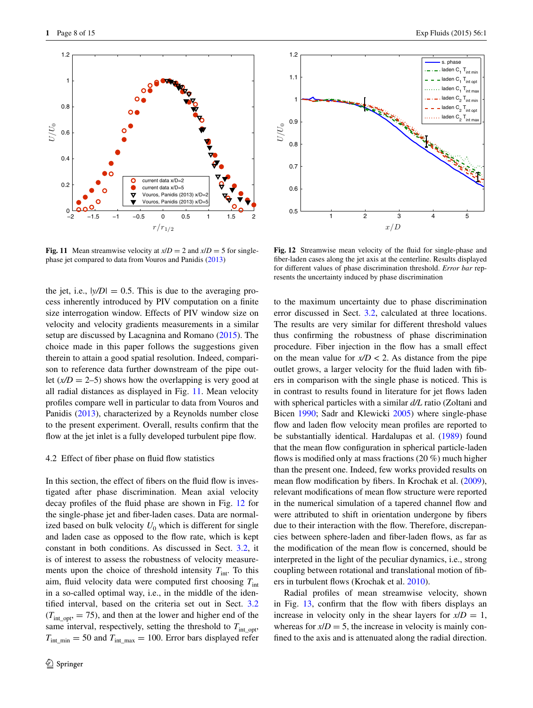Exp Fluids (2015) 56:1

s. phas laden C len  $\overline{C}$ laden  $C_1$  T<sub>int max</sub> laden  $C_2$  T<sub>int min</sub> laden C<sub>o</sub> T<sub>int</sub> laden  $C_2$  T<sub>int</sub>



<span id="page-7-1"></span>**Fig.** 11 Mean streamwise velocity at  $x/D = 2$  and  $x/D = 5$  for singlephase jet compared to data from Vouros and Panidis [\(2013](#page-14-20))

the jet, i.e.,  $|y/D| = 0.5$ . This is due to the averaging process inherently introduced by PIV computation on a finite size interrogation window. Effects of PIV window size on velocity and velocity gradients measurements in a similar setup are discussed by Lacagnina and Romano [\(2015](#page-14-22)). The choice made in this paper follows the suggestions given therein to attain a good spatial resolution. Indeed, comparison to reference data further downstream of the pipe outlet  $(x/D = 2-5)$  shows how the overlapping is very good at all radial distances as displayed in Fig. [11.](#page-7-1) Mean velocity profiles compare well in particular to data from Vouros and Panidis ([2013\)](#page-14-20), characterized by a Reynolds number close to the present experiment. Overall, results confirm that the flow at the jet inlet is a fully developed turbulent pipe flow.

# <span id="page-7-0"></span>4.2 Effect of fiber phase on fluid flow statistics

In this section, the effect of fibers on the fluid flow is investigated after phase discrimination. Mean axial velocity decay profiles of the fluid phase are shown in Fig. [12](#page-7-2) for the single-phase jet and fiber-laden cases. Data are normalized based on bulk velocity  $U_0$  which is different for single and laden case as opposed to the flow rate, which is kept constant in both conditions. As discussed in Sect. [3.2,](#page-3-0) it is of interest to assess the robustness of velocity measurements upon the choice of threshold intensity  $T_{\text{int}}$ . To this aim, fluid velocity data were computed first choosing  $T_{\text{int}}$ in a so-called optimal way, i.e., in the middle of the identified interval, based on the criteria set out in Sect. [3.2](#page-3-0)  $(T_{\text{int opt}} = 75)$ , and then at the lower and higher end of the same interval, respectively, setting the threshold to  $T_{int\_opt}$ ,  $T_{\text{int,min}} = 50$  and  $T_{\text{int,max}} = 100$ . Error bars displayed refer

<span id="page-7-2"></span>

0.5

0.6

0.7

0.8

*U/ U*0 0.9

1

1.1

1 2 3 4 5

to the maximum uncertainty due to phase discrimination error discussed in Sect. [3.2,](#page-3-0) calculated at three locations. The results are very similar for different threshold values thus confirming the robustness of phase discrimination procedure. Fiber injection in the flow has a small effect on the mean value for  $x/D < 2$ . As distance from the pipe outlet grows, a larger velocity for the fluid laden with fibers in comparison with the single phase is noticed. This is in contrast to results found in literature for jet flows laden with spherical particles with a similar *d/L* ratio (Zoltani and Bicen [1990](#page-14-23); Sadr and Klewicki [2005](#page-14-8)) where single-phase flow and laden flow velocity mean profiles are reported to be substantially identical. Hardalupas et al. [\(1989](#page-14-24)) found that the mean flow configuration in spherical particle-laden flows is modified only at mass fractions (20 %) much higher than the present one. Indeed, few works provided results on mean flow modification by fibers. In Krochak et al. [\(2009](#page-14-25)), relevant modifications of mean flow structure were reported in the numerical simulation of a tapered channel flow and were attributed to shift in orientation undergone by fibers due to their interaction with the flow. Therefore, discrepancies between sphere-laden and fiber-laden flows, as far as the modification of the mean flow is concerned, should be interpreted in the light of the peculiar dynamics, i.e., strong coupling between rotational and translational motion of fibers in turbulent flows (Krochak et al. [2010](#page-14-26)).

Radial profiles of mean streamwise velocity, shown in Fig. [13,](#page-8-0) confirm that the flow with fibers displays an increase in velocity only in the shear layers for  $x/D = 1$ , whereas for  $x/D = 5$ , the increase in velocity is mainly confined to the axis and is attenuated along the radial direction.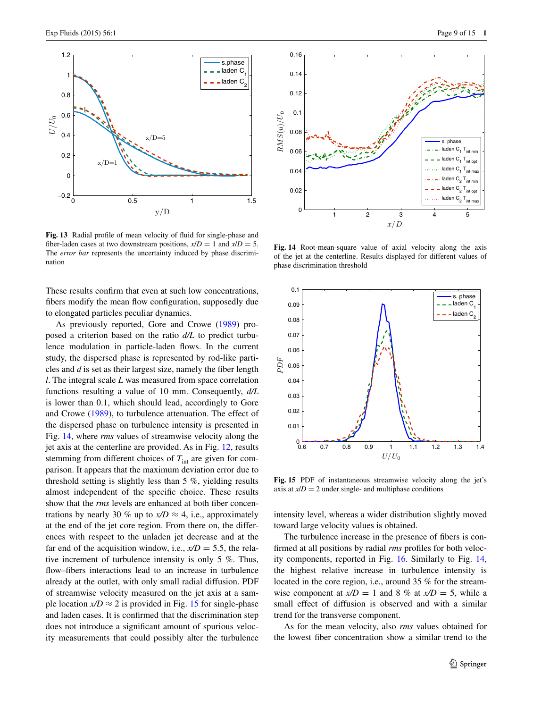

<span id="page-8-0"></span>**Fig. 13** Radial profile of mean velocity of fluid for single-phase and fiber-laden cases at two downstream positions,  $x/D = 1$  and  $x/D = 5$ . The *error bar* represents the uncertainty induced by phase discrimination

These results confirm that even at such low concentrations, fibers modify the mean flow configuration, supposedly due to elongated particles peculiar dynamics.

As previously reported, Gore and Crowe [\(1989](#page-14-4)) proposed a criterion based on the ratio *d/L* to predict turbulence modulation in particle-laden flows. In the current study, the dispersed phase is represented by rod-like particles and *d* is set as their largest size, namely the fiber length *l*. The integral scale *L* was measured from space correlation functions resulting a value of 10 mm. Consequently, *d/L* is lower than 0.1, which should lead, accordingly to Gore and Crowe [\(1989](#page-14-4)), to turbulence attenuation. The effect of the dispersed phase on turbulence intensity is presented in Fig. [14,](#page-8-1) where *rms* values of streamwise velocity along the jet axis at the centerline are provided. As in Fig. [12,](#page-7-2) results stemming from different choices of  $T<sub>int</sub>$  are given for comparison. It appears that the maximum deviation error due to threshold setting is slightly less than 5 %, yielding results almost independent of the specific choice. These results show that the *rms* levels are enhanced at both fiber concentrations by nearly 30 % up to  $x/D \approx 4$ , i.e., approximately at the end of the jet core region. From there on, the differences with respect to the unladen jet decrease and at the far end of the acquisition window, i.e.,  $x/D = 5.5$ , the relative increment of turbulence intensity is only 5 %. Thus, flow–fibers interactions lead to an increase in turbulence already at the outlet, with only small radial diffusion. PDF of streamwise velocity measured on the jet axis at a sample location  $x/D \approx 2$  is provided in Fig. [15](#page-8-2) for single-phase and laden cases. It is confirmed that the discrimination step does not introduce a significant amount of spurious velocity measurements that could possibly alter the turbulence



<span id="page-8-1"></span>**Fig. 14** Root-mean-square value of axial velocity along the axis of the jet at the centerline. Results displayed for different values of phase discrimination threshold



<span id="page-8-2"></span>**Fig. 15** PDF of instantaneous streamwise velocity along the jet's axis at  $x/D = 2$  under single- and multiphase conditions

intensity level, whereas a wider distribution slightly moved toward large velocity values is obtained.

The turbulence increase in the presence of fibers is confirmed at all positions by radial *rms* profiles for both velocity components, reported in Fig. [16](#page-9-0). Similarly to Fig. [14,](#page-8-1) the highest relative increase in turbulence intensity is located in the core region, i.e., around 35 % for the streamwise component at  $x/D = 1$  and 8 % at  $x/D = 5$ , while a small effect of diffusion is observed and with a similar trend for the transverse component.

As for the mean velocity, also *rms* values obtained for the lowest fiber concentration show a similar trend to the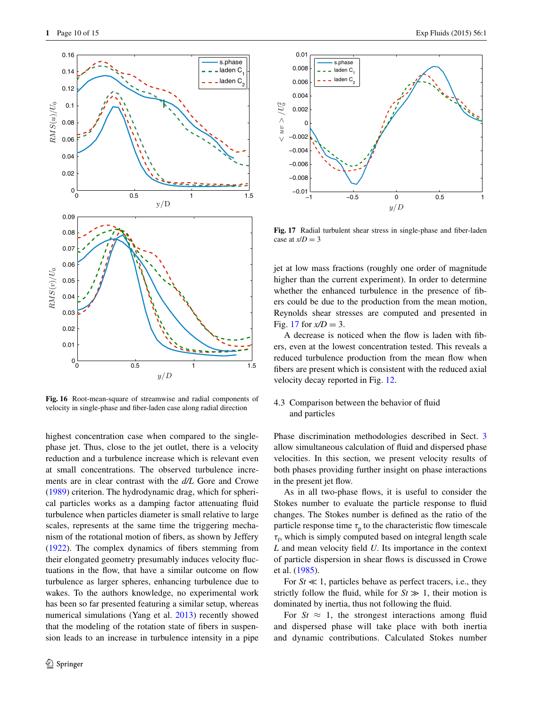

<span id="page-9-0"></span>**Fig. 16** Root-mean-square of streamwise and radial components of velocity in single-phase and fiber-laden case along radial direction

highest concentration case when compared to the singlephase jet. Thus, close to the jet outlet, there is a velocity reduction and a turbulence increase which is relevant even at small concentrations. The observed turbulence increments are in clear contrast with the *d/L* Gore and Crowe [\(1989](#page-14-4)) criterion. The hydrodynamic drag, which for spherical particles works as a damping factor attenuating fluid turbulence when particles diameter is small relative to large scales, represents at the same time the triggering mechanism of the rotational motion of fibers, as shown by Jeffery [\(1922](#page-14-10)). The complex dynamics of fibers stemming from their elongated geometry presumably induces velocity fluctuations in the flow, that have a similar outcome on flow turbulence as larger spheres, enhancing turbulence due to wakes. To the authors knowledge, no experimental work has been so far presented featuring a similar setup, whereas numerical simulations (Yang et al. [2013](#page-14-27)) recently showed that the modeling of the rotation state of fibers in suspension leads to an increase in turbulence intensity in a pipe



<span id="page-9-1"></span>**Fig. 17** Radial turbulent shear stress in single-phase and fiber-laden case at  $x/D = 3$ 

jet at low mass fractions (roughly one order of magnitude higher than the current experiment). In order to determine whether the enhanced turbulence in the presence of fibers could be due to the production from the mean motion, Reynolds shear stresses are computed and presented in Fig. [17](#page-9-1) for  $x/D = 3$ .

A decrease is noticed when the flow is laden with fibers, even at the lowest concentration tested. This reveals a reduced turbulence production from the mean flow when fibers are present which is consistent with the reduced axial velocity decay reported in Fig. [12.](#page-7-2)

# 4.3 Comparison between the behavior of fluid and particles

Phase discrimination methodologies described in Sect. [3](#page-2-0) allow simultaneous calculation of fluid and dispersed phase velocities. In this section, we present velocity results of both phases providing further insight on phase interactions in the present jet flow.

As in all two-phase flows, it is useful to consider the Stokes number to evaluate the particle response to fluid changes. The Stokes number is defined as the ratio of the particle response time  $\tau_p$  to the characteristic flow timescale  $\tau_f$ , which is simply computed based on integral length scale *L* and mean velocity field *U*. Its importance in the context of particle dispersion in shear flows is discussed in Crowe et al. [\(1985](#page-13-7)).

For  $St \ll 1$ , particles behave as perfect tracers, i.e., they strictly follow the fluid, while for  $St \gg 1$ , their motion is dominated by inertia, thus not following the fluid.

For  $St \approx 1$ , the strongest interactions among fluid and dispersed phase will take place with both inertia and dynamic contributions. Calculated Stokes number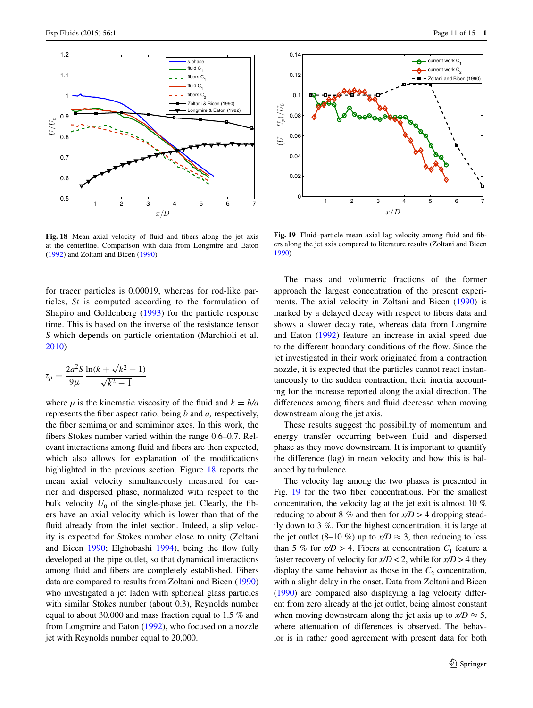

<span id="page-10-0"></span>**Fig. 18** Mean axial velocity of fluid and fibers along the jet axis at the centerline. Comparison with data from Longmire and Eaton ([1992\)](#page-14-0) and Zoltani and Bicen [\(1990](#page-14-23))

for tracer particles is 0.00019, whereas for rod-like particles, *St* is computed according to the formulation of Shapiro and Goldenberg ([1993](#page-14-28)) for the particle response time. This is based on the inverse of the resistance tensor *S* which depends on particle orientation (Marchioli et al. [2010](#page-14-13))

$$
\tau_p = \frac{2a^2S}{9\mu} \frac{\ln(k + \sqrt{k^2 - 1})}{\sqrt{k^2 - 1}}
$$

where  $\mu$  is the kinematic viscosity of the fluid and  $k = b/a$ represents the fiber aspect ratio, being *b* and *a,* respectively, the fiber semimajor and semiminor axes. In this work, the fibers Stokes number varied within the range 0.6–0.7. Relevant interactions among fluid and fibers are then expected, which also allows for explanation of the modifications highlighted in the previous section. Figure [18](#page-10-0) reports the mean axial velocity simultaneously measured for carrier and dispersed phase, normalized with respect to the bulk velocity  $U_0$  of the single-phase jet. Clearly, the fibers have an axial velocity which is lower than that of the fluid already from the inlet section. Indeed, a slip velocity is expected for Stokes number close to unity (Zoltani and Bicen [1990;](#page-14-23) Elghobashi [1994\)](#page-13-8), being the flow fully developed at the pipe outlet, so that dynamical interactions among fluid and fibers are completely established. Fibers data are compared to results from Zoltani and Bicen ([1990\)](#page-14-23) who investigated a jet laden with spherical glass particles with similar Stokes number (about 0.3), Reynolds number equal to about 30.000 and mass fraction equal to 1.5 % and from Longmire and Eaton [\(1992](#page-14-0)), who focused on a nozzle jet with Reynolds number equal to 20,000.



<span id="page-10-1"></span>**Fig. 19** Fluid–particle mean axial lag velocity among fluid and fibers along the jet axis compared to literature results (Zoltani and Bicen [1990](#page-14-23))

The mass and volumetric fractions of the former approach the largest concentration of the present experiments. The axial velocity in Zoltani and Bicen [\(1990](#page-14-23)) is marked by a delayed decay with respect to fibers data and shows a slower decay rate, whereas data from Longmire and Eaton ([1992\)](#page-14-0) feature an increase in axial speed due to the different boundary conditions of the flow. Since the jet investigated in their work originated from a contraction nozzle, it is expected that the particles cannot react instantaneously to the sudden contraction, their inertia accounting for the increase reported along the axial direction. The differences among fibers and fluid decrease when moving downstream along the jet axis.

These results suggest the possibility of momentum and energy transfer occurring between fluid and dispersed phase as they move downstream. It is important to quantify the difference (lag) in mean velocity and how this is balanced by turbulence.

The velocity lag among the two phases is presented in Fig. [19](#page-10-1) for the two fiber concentrations. For the smallest concentration, the velocity lag at the jet exit is almost 10 % reducing to about 8 % and then for  $x/D > 4$  dropping steadily down to 3 %. For the highest concentration, it is large at the jet outlet (8–10 %) up to  $x/D \approx 3$ , then reducing to less than 5 % for  $x/D > 4$ . Fibers at concentration  $C_1$  feature a faster recovery of velocity for  $x/D < 2$ , while for  $x/D > 4$  they display the same behavior as those in the  $C_2$  concentration, with a slight delay in the onset. Data from Zoltani and Bicen [\(1990\)](#page-14-23) are compared also displaying a lag velocity different from zero already at the jet outlet, being almost constant when moving downstream along the jet axis up to  $x/D \approx 5$ , where attenuation of differences is observed. The behavior is in rather good agreement with present data for both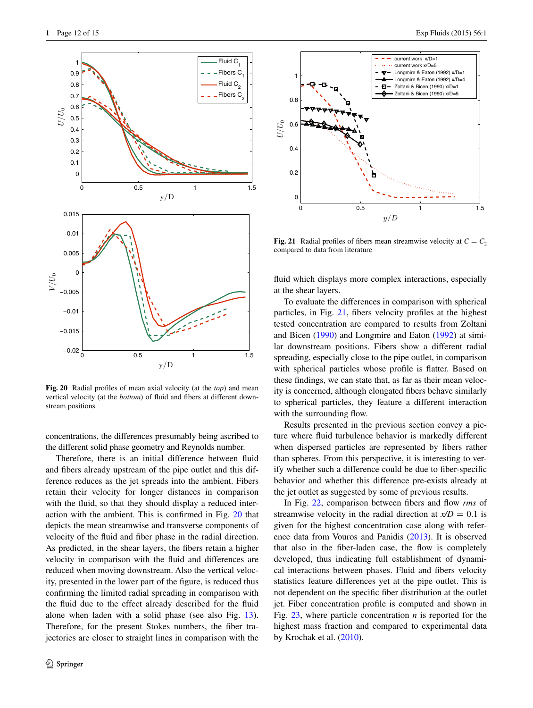

<span id="page-11-0"></span>**Fig. 20** Radial profiles of mean axial velocity (at the *top*) and mean vertical velocity (at the *bottom*) of fluid and fibers at different downstream positions

concentrations, the differences presumably being ascribed to the different solid phase geometry and Reynolds number.

Therefore, there is an initial difference between fluid and fibers already upstream of the pipe outlet and this difference reduces as the jet spreads into the ambient. Fibers retain their velocity for longer distances in comparison with the fluid, so that they should display a reduced interaction with the ambient. This is confirmed in Fig. [20](#page-11-0) that depicts the mean streamwise and transverse components of velocity of the fluid and fiber phase in the radial direction. As predicted, in the shear layers, the fibers retain a higher velocity in comparison with the fluid and differences are reduced when moving downstream. Also the vertical velocity, presented in the lower part of the figure, is reduced thus confirming the limited radial spreading in comparison with the fluid due to the effect already described for the fluid alone when laden with a solid phase (see also Fig. [13](#page-8-0)). Therefore, for the present Stokes numbers, the fiber trajectories are closer to straight lines in comparison with the



<span id="page-11-1"></span>**Fig.** 21 Radial profiles of fibers mean streamwise velocity at  $C = C_2$ compared to data from literature

fluid which displays more complex interactions, especially at the shear layers.

To evaluate the differences in comparison with spherical particles, in Fig. [21](#page-11-1), fibers velocity profiles at the highest tested concentration are compared to results from Zoltani and Bicen [\(1990](#page-14-23)) and Longmire and Eaton [\(1992](#page-14-0)) at similar downstream positions. Fibers show a different radial spreading, especially close to the pipe outlet, in comparison with spherical particles whose profile is flatter. Based on these findings, we can state that, as far as their mean velocity is concerned, although elongated fibers behave similarly to spherical particles, they feature a different interaction with the surrounding flow.

Results presented in the previous section convey a picture where fluid turbulence behavior is markedly different when dispersed particles are represented by fibers rather than spheres. From this perspective, it is interesting to verify whether such a difference could be due to fiber-specific behavior and whether this difference pre-exists already at the jet outlet as suggested by some of previous results.

In Fig. [22,](#page-12-0) comparison between fibers and flow *rms* of streamwise velocity in the radial direction at  $x/D = 0.1$  is given for the highest concentration case along with reference data from Vouros and Panidis [\(2013](#page-14-20)). It is observed that also in the fiber-laden case, the flow is completely developed, thus indicating full establishment of dynamical interactions between phases. Fluid and fibers velocity statistics feature differences yet at the pipe outlet. This is not dependent on the specific fiber distribution at the outlet jet. Fiber concentration profile is computed and shown in Fig. [23,](#page-12-1) where particle concentration *n* is reported for the highest mass fraction and compared to experimental data by Krochak et al. ([2010\)](#page-14-26).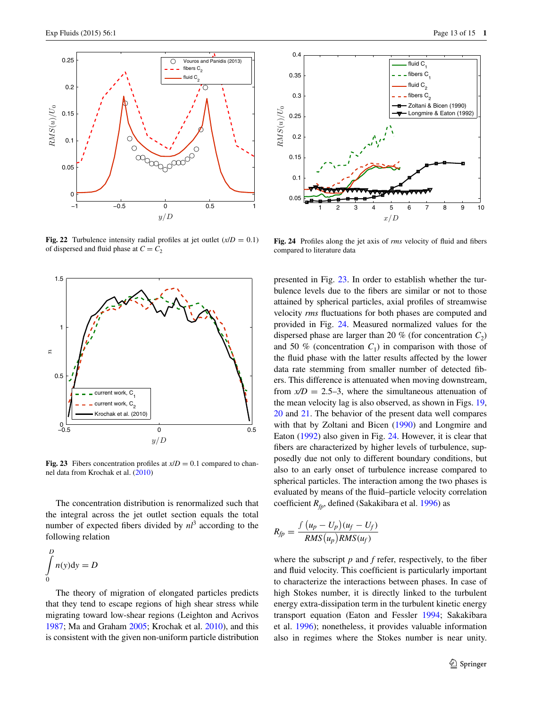

<span id="page-12-0"></span>**Fig.** 22 Turbulence intensity radial profiles at jet outlet  $(x/D = 0.1)$ of dispersed and fluid phase at  $C = C_2$ 



<span id="page-12-1"></span>**Fig.** 23 Fibers concentration profiles at  $x/D = 0.1$  compared to channel data from Krochak et al. [\(2010](#page-14-26))

The concentration distribution is renormalized such that the integral across the jet outlet section equals the total number of expected fibers divided by  $nl^3$  according to the following relation

$$
\int_{0}^{D} n(y) \mathrm{d}y = D
$$

The theory of migration of elongated particles predicts that they tend to escape regions of high shear stress while migrating toward low-shear regions (Leighton and Acrivos [1987;](#page-14-29) Ma and Graham [2005](#page-14-30); Krochak et al. [2010](#page-14-26)), and this is consistent with the given non-uniform particle distribution



<span id="page-12-2"></span>**Fig. 24** Profiles along the jet axis of *rms* velocity of fluid and fibers compared to literature data

presented in Fig. [23.](#page-12-1) In order to establish whether the turbulence levels due to the fibers are similar or not to those attained by spherical particles, axial profiles of streamwise velocity *rms* fluctuations for both phases are computed and provided in Fig. [24.](#page-12-2) Measured normalized values for the dispersed phase are larger than 20 % (for concentration  $C_2$ ) and 50 % (concentration  $C_1$ ) in comparison with those of the fluid phase with the latter results affected by the lower data rate stemming from smaller number of detected fibers. This difference is attenuated when moving downstream, from  $x/D = 2.5-3$ , where the simultaneous attenuation of the mean velocity lag is also observed, as shown in Figs. [19,](#page-10-1) [20](#page-11-0) and [21.](#page-11-1) The behavior of the present data well compares with that by Zoltani and Bicen ([1990](#page-14-23)) and Longmire and Eaton [\(1992](#page-14-0)) also given in Fig. [24.](#page-12-2) However, it is clear that fibers are characterized by higher levels of turbulence, supposedly due not only to different boundary conditions, but also to an early onset of turbulence increase compared to spherical particles. The interaction among the two phases is evaluated by means of the fluid–particle velocity correlation coefficient *R<sub>fp</sub>*, defined (Sakakibara et al. [1996](#page-14-31)) as

$$
R_{fp} = \frac{f (u_p - U_p)(u_f - U_f)}{RMS(u_p)RMS(u_f)}
$$

where the subscript  $p$  and  $f$  refer, respectively, to the fiber and fluid velocity. This coefficient is particularly important to characterize the interactions between phases. In case of high Stokes number, it is directly linked to the turbulent energy extra-dissipation term in the turbulent kinetic energy transport equation (Eaton and Fessler [1994;](#page-13-9) Sakakibara et al. [1996](#page-14-31)); nonetheless, it provides valuable information also in regimes where the Stokes number is near unity.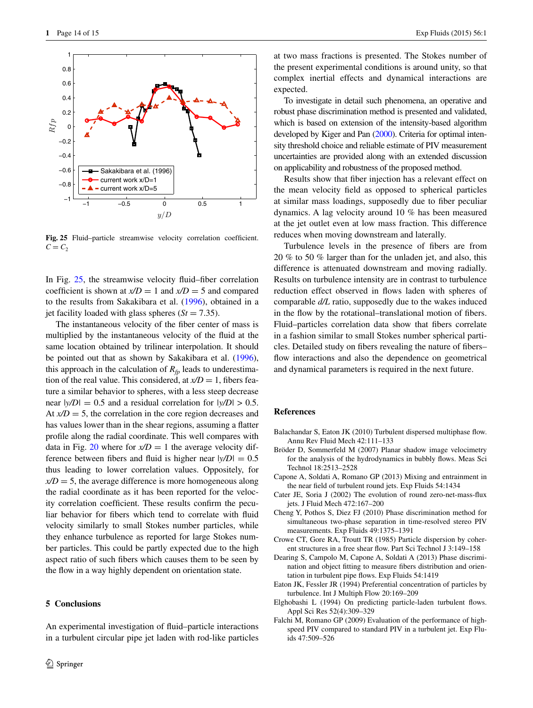

<span id="page-13-10"></span>**Fig. 25** Fluid–particle streamwise velocity correlation coefficient.  $C = C<sub>2</sub>$ 

In Fig. [25,](#page-13-10) the streamwise velocity fluid–fiber correlation coefficient is shown at  $x/D = 1$  and  $x/D = 5$  and compared to the results from Sakakibara et al. [\(1996](#page-14-31)), obtained in a jet facility loaded with glass spheres  $(St = 7.35)$ .

The instantaneous velocity of the fiber center of mass is multiplied by the instantaneous velocity of the fluid at the same location obtained by trilinear interpolation. It should be pointed out that as shown by Sakakibara et al. ([1996](#page-14-31)), this approach in the calculation of  $R_f$  leads to underestimation of the real value. This considered, at  $x/D = 1$ , fibers feature a similar behavior to spheres, with a less steep decrease near  $|y/D| = 0.5$  and a residual correlation for  $|y/D| > 0.5$ . At  $x/D = 5$ , the correlation in the core region decreases and has values lower than in the shear regions, assuming a flatter profile along the radial coordinate. This well compares with data in Fig. [20](#page-11-0) where for  $x/D = 1$  the average velocity difference between fibers and fluid is higher near  $|y/D| = 0.5$ thus leading to lower correlation values. Oppositely, for  $x/D = 5$ , the average difference is more homogeneous along the radial coordinate as it has been reported for the velocity correlation coefficient. These results confirm the peculiar behavior for fibers which tend to correlate with fluid velocity similarly to small Stokes number particles, while they enhance turbulence as reported for large Stokes number particles. This could be partly expected due to the high aspect ratio of such fibers which causes them to be seen by the flow in a way highly dependent on orientation state.

## **5 Conclusions**

An experimental investigation of fluid–particle interactions in a turbulent circular pipe jet laden with rod-like particles at two mass fractions is presented. The Stokes number of the present experimental conditions is around unity, so that complex inertial effects and dynamical interactions are expected.

To investigate in detail such phenomena, an operative and robust phase discrimination method is presented and validated, which is based on extension of the intensity-based algorithm developed by Kiger and Pan [\(2000](#page-14-15)). Criteria for optimal intensity threshold choice and reliable estimate of PIV measurement uncertainties are provided along with an extended discussion on applicability and robustness of the proposed method.

Results show that fiber injection has a relevant effect on the mean velocity field as opposed to spherical particles at similar mass loadings, supposedly due to fiber peculiar dynamics. A lag velocity around 10 % has been measured at the jet outlet even at low mass fraction. This difference reduces when moving downstream and laterally.

Turbulence levels in the presence of fibers are from 20 % to 50 % larger than for the unladen jet, and also, this difference is attenuated downstream and moving radially. Results on turbulence intensity are in contrast to turbulence reduction effect observed in flows laden with spheres of comparable *d/L* ratio, supposedly due to the wakes induced in the flow by the rotational–translational motion of fibers. Fluid–particles correlation data show that fibers correlate in a fashion similar to small Stokes number spherical particles. Detailed study on fibers revealing the nature of fibers– flow interactions and also the dependence on geometrical and dynamical parameters is required in the next future.

#### **References**

- <span id="page-13-0"></span>Balachandar S, Eaton JK (2010) Turbulent dispersed multiphase flow. Annu Rev Fluid Mech 42:111–133
- <span id="page-13-6"></span>Bröder D, Sommerfeld M (2007) Planar shadow image velocimetry for the analysis of the hydrodynamics in bubbly flows. Meas Sci Technol 18:2513–2528
- <span id="page-13-3"></span>Capone A, Soldati A, Romano GP (2013) Mixing and entrainment in the near field of turbulent round jets. Exp Fluids 54:1434
- <span id="page-13-2"></span>Cater JE, Soria J (2002) The evolution of round zero-net-mass-flux jets. J Fluid Mech 472:167–200
- <span id="page-13-5"></span>Cheng Y, Pothos S, Diez FJ (2010) Phase discrimination method for simultaneous two-phase separation in time-resolved stereo PIV measurements. Exp Fluids 49:1375–1391
- <span id="page-13-7"></span>Crowe CT, Gore RA, Troutt TR (1985) Particle dispersion by coherent structures in a free shear flow. Part Sci Technol J 3:149–158
- <span id="page-13-1"></span>Dearing S, Campolo M, Capone A, Soldati A (2013) Phase discrimination and object fitting to measure fibers distribution and orientation in turbulent pipe flows. Exp Fluids 54:1419
- <span id="page-13-9"></span>Eaton JK, Fessler JR (1994) Preferential concentration of particles by turbulence. Int J Multiph Flow 20:169–209
- <span id="page-13-8"></span>Elghobashi L (1994) On predicting particle-laden turbulent flows. Appl Sci Res 52(4):309–329
- <span id="page-13-4"></span>Falchi M, Romano GP (2009) Evaluation of the performance of highspeed PIV compared to standard PIV in a turbulent jet. Exp Fluids 47:509–526